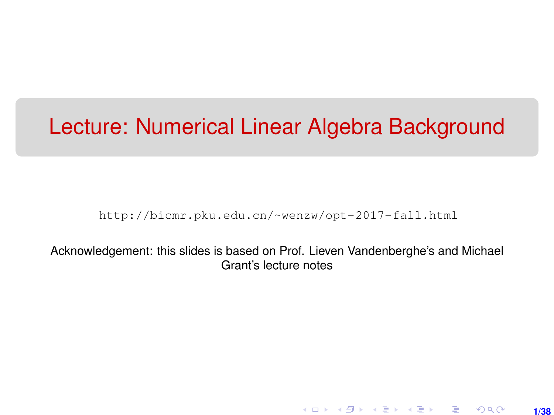# <span id="page-0-0"></span>Lecture: Numerical Linear Algebra Background

[http://bicmr.pku.edu.cn/~wenzw/opt-2017-fall.html](http://bicmr.pku.edu.cn/~wenzw/opt-2017-fall.html )

Acknowledgement: this slides is based on Prof. Lieven Vandenberghe's and Michael Grant's lecture notes

> K ロ ▶ K 레 ▶ K 회 ▶ K 회 ▶ │ 회 │ ⊙ Q Q **1/38**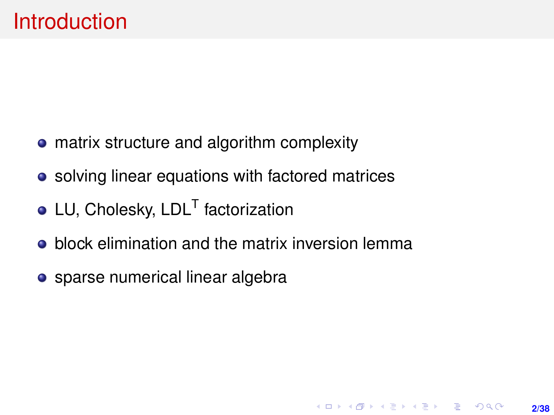- matrix structure and algorithm complexity
- solving linear equations with factored matrices
- LU, Cholesky, LDL<sup>T</sup> factorization
- **•** block elimination and the matrix inversion lemma

**2/38**

**KORKARK (EXIST) E MOOR** 

• sparse numerical linear algebra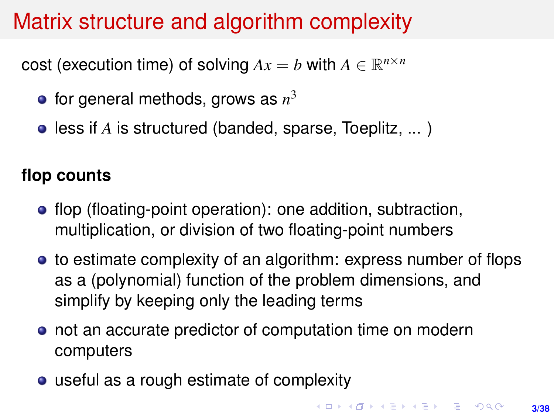### Matrix structure and algorithm complexity

cost (execution time) of solving  $Ax = b$  with  $A \in \mathbb{R}^{n \times n}$ 

- for general methods, grows as *n* 3
- **e** less if *A* is structured (banded, sparse, Toeplitz, ...)

#### **flop counts**

- flop (floating-point operation): one addition, subtraction, multiplication, or division of two floating-point numbers
- to estimate complexity of an algorithm: express number of flops as a (polynomial) function of the problem dimensions, and simplify by keeping only the leading terms
- not an accurate predictor of computation time on modern computers
- useful as a rough estimate of complexity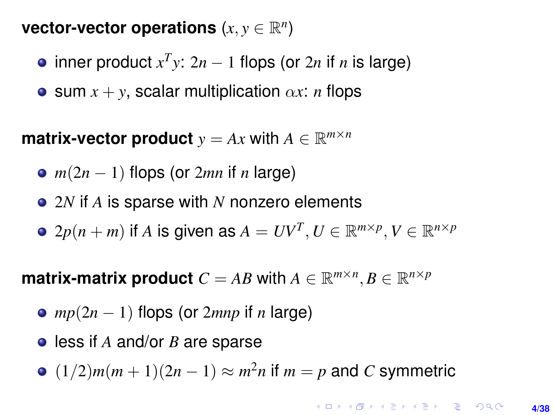vector-vector operations  $(x, y \in \mathbb{R}^n)$ 

- inner product  $x^T y$ : 2*n* − 1 flops (or 2*n* if *n* is large)
- **e** sum  $x + y$ , scalar multiplication  $\alpha x$ : *n* flops

**matrix-vector product**  $y = Ax$  with  $A \in \mathbb{R}^{m \times n}$ 

- *m*(2*n* − 1) flops (or 2*mn* if *n* large)
- 2*N* if *A* is sparse with *N* nonzero elements
- $2p(n+m)$  if  $A$  is given as  $A = UV^T, U \in \mathbb{R}^{m \times p}, V \in \mathbb{R}^{n \times p}$

**matrix-matrix product**  $C = AB$  with  $A \in \mathbb{R}^{m \times n}, B \in \mathbb{R}^{n \times p}$ 

- *mp*(2*n* − 1) flops (or 2*mnp* if *n* large)
- less if *A* and/or *B* are sparse
- $(1/2)m(m+1)(2n-1) \approx m^2n$  if  $m = p$  and *C* symmetric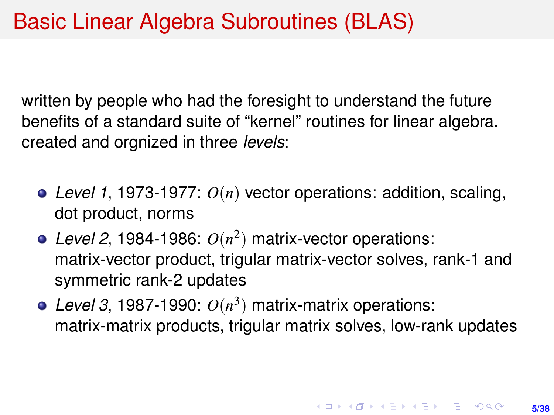written by people who had the foresight to understand the future benefits of a standard suite of "kernel" routines for linear algebra. created and orgnized in three *levels*:

- *Level 1*, 1973-1977: *O*(*n*) vector operations: addition, scaling, dot product, norms
- Level 2, 1984-1986:  $O(n^2)$  matrix-vector operations: matrix-vector product, trigular matrix-vector solves, rank-1 and symmetric rank-2 updates
- Level 3, 1987-1990:  $O(n^3)$  matrix-matrix operations: matrix-matrix products, trigular matrix solves, low-rank updates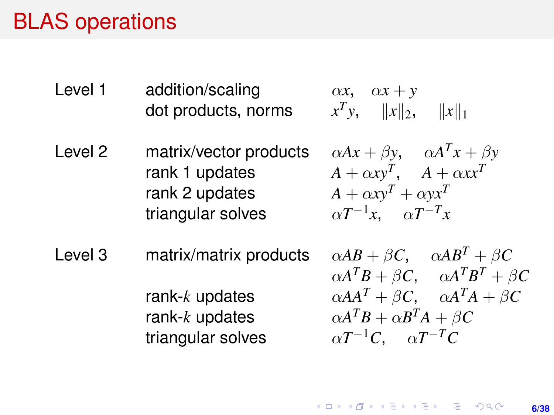### BLAS operations

- Level 1 addition/scaling  $\alpha x, \alpha x + y$ dot products, norms
	- $T$ *y*,  $||x||_2$ ,  $||x||_1$
- Level 2 matrix/vector products  $rank 1$  updates  $rank 2 update$ triangular solves

$$
\alpha Ax + \beta y, \quad \alpha A^{T}x + \beta yA + \alpha xy^{T}, \quad A + \alpha xx^{T}A + \alpha xy^{T} + \alpha yx^{T}\alpha T^{-1}x, \quad \alpha T^{-T}x
$$

 $L$ evel 3 matrix/matrix products *R*  $k$  updates rank-*k* updates triangular solves

$$
\alpha AB + \beta C, \quad \alpha AB^{T} + \beta C
$$
  
\n
$$
\alpha A^{T}B + \beta C, \quad \alpha A^{T}B^{T} + \beta C
$$
  
\n
$$
\alpha A^{T} + \beta C, \quad \alpha A^{T}A + \beta C
$$
  
\n
$$
\alpha A^{T}B + \alpha B^{T}A + \beta C
$$
  
\n
$$
\alpha T^{-1}C, \quad \alpha T^{-T}C
$$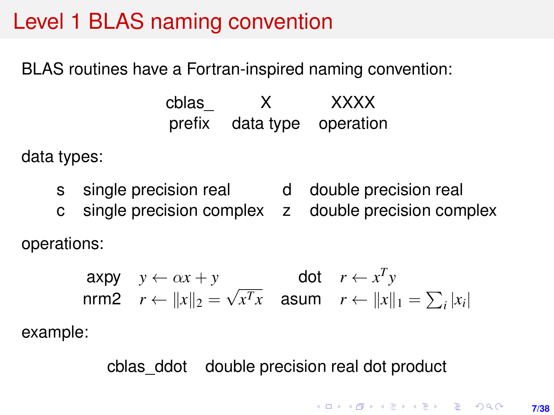### <span id="page-6-0"></span>Level 1 BLAS naming convention

BLAS routines have a Fortran-inspired naming convention:

cblas\_ X XXXX prefix data type operation

data types:

- s single precision real d double precision real
- c single precision complex z double precision complex

operations:

$$
\begin{array}{ll}\n\text{axpy} & y \leftarrow \alpha x + y \\
\text{nrm2} & r \leftarrow ||x||_2 = \sqrt{x^T x} \quad \text{asum} \quad r \leftarrow ||x||_1 = \sum_i |x_i|\n\end{array}
$$

example:

cblas\_ddot double precision real dot product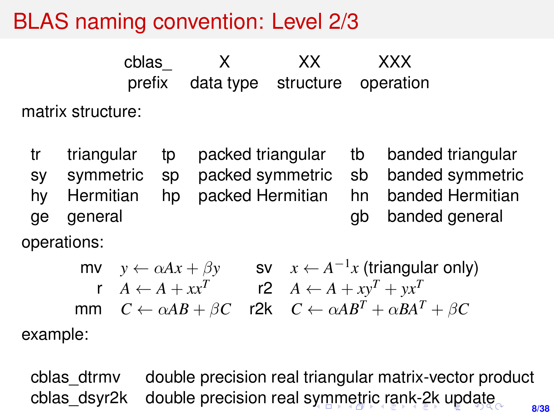# <span id="page-7-0"></span>BLAS naming convention: Level 2/3

cblas X XX XXX prefix data type structure operation matrix structure:

tr triangular tp packed triangular tb banded triangular sy symmetric sp packed symmetric sb banded symmetric hy Hermitian hp packed Hermitian hn banded Hermitian ge general gb banded general

operations:

 $\textsf{mv} \quad y \leftarrow \alpha Ax + \beta y \qquad \textsf{sv} \quad x \leftarrow A^{-1}x \text{ (triangular only)}$ r  $A \leftarrow A + xx^T$  r2  $A \leftarrow A + xy^T + yx^T$ mm  $C \leftarrow \alpha AB + \beta C$  r2k  $C \leftarrow \alpha AB^T + \alpha BA^T + \beta C$ example:

**8/38** cblas\_dtrmv double precision real triangular matrix-vector product cblas dsyr2k double precision real [sym](#page-6-0)[m](#page-8-0)[etr](#page-7-0)[ic](#page-8-0) [r](#page-0-0)[an](#page-37-0)[k-](#page-0-0)[2k](#page-37-0) [u](#page-0-0)[pda](#page-37-0)te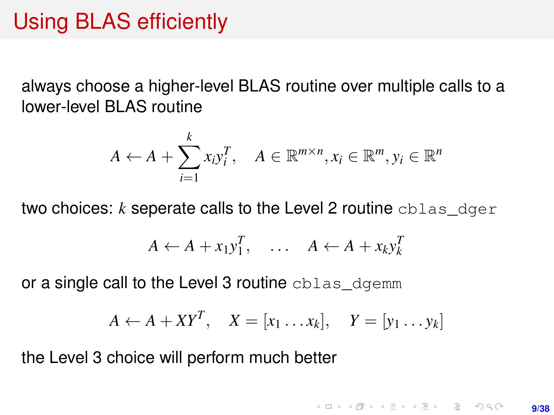### <span id="page-8-0"></span>Using BLAS efficiently

always choose a higher-level BLAS routine over multiple calls to a lower-level BLAS routine

$$
A \leftarrow A + \sum_{i=1}^{k} x_i y_i^T, \quad A \in \mathbb{R}^{m \times n}, x_i \in \mathbb{R}^m, y_i \in \mathbb{R}^n
$$

two choices: *k* seperate calls to the Level 2 routine cblas\_dger

$$
A \leftarrow A + x_1 y_1^T, \quad \dots \quad A \leftarrow A + x_k y_k^T
$$

or a single call to the Level 3 routine cblas dgemm

$$
A \leftarrow A + XY^T, \quad X = [x_1 \dots x_k], \quad Y = [y_1 \dots y_k]
$$

the Level 3 choice will perform much better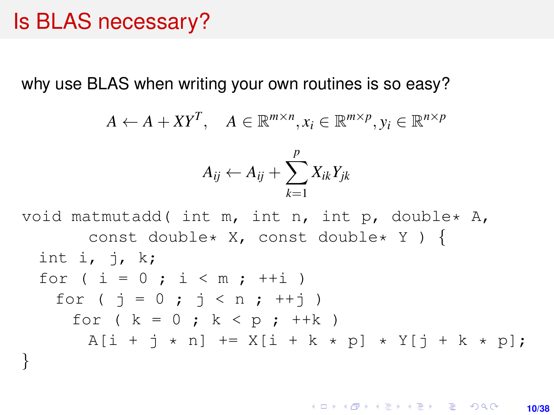#### Is BLAS necessary?

why use BLAS when writing your own routines is so easy?

$$
A \leftarrow A + XY^T, \quad A \in \mathbb{R}^{m \times n}, x_i \in \mathbb{R}^{m \times p}, y_i \in \mathbb{R}^{n \times p}
$$

$$
A_{ij} \leftarrow A_{ij} + \sum_{k=1}^p X_{ik} Y_{jk}
$$

void matmutadd( int m, int n, int p, double\*  $A$ , const double\* X, const double\* Y ) { int i,  $i$ , k; for (  $i = 0$  ;  $i < m$  ;  $++i$  ) for (  $\dot{1} = 0$  ;  $\dot{1} < n$  ;  $\dot{+}$  +  $\dot{1}$  ) for (  $k = 0$  ;  $k < p$  ;  $++k$  )  $A[i + j * n]$  +=  $X[i + k * p] * Y[j + k * p]$ ; }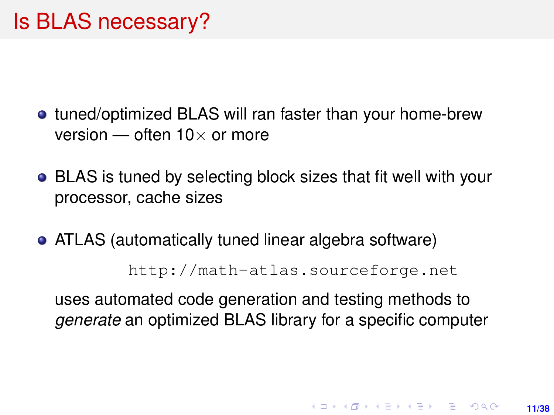- tuned/optimized BLAS will ran faster than your home-brew version — often  $10\times$  or more
- BLAS is tuned by selecting block sizes that fit well with your processor, cache sizes
- ATLAS (automatically tuned linear algebra software)

<http://math-atlas.sourceforge.net>

uses automated code generation and testing methods to *generate* an optimized BLAS library for a specific computer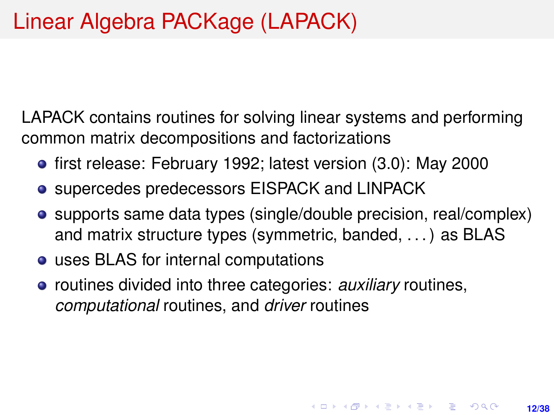LAPACK contains routines for solving linear systems and performing common matrix decompositions and factorizations

- **•** first release: February 1992; latest version (3.0): May 2000
- **•** supercedes predecessors EISPACK and LINPACK
- supports same data types (single/double precision, real/complex) and matrix structure types (symmetric, banded, . . . ) as BLAS
- uses BLAS for internal computations
- **•** routines divided into three categories: *auxiliary* routines, *computational* routines, and *driver* routines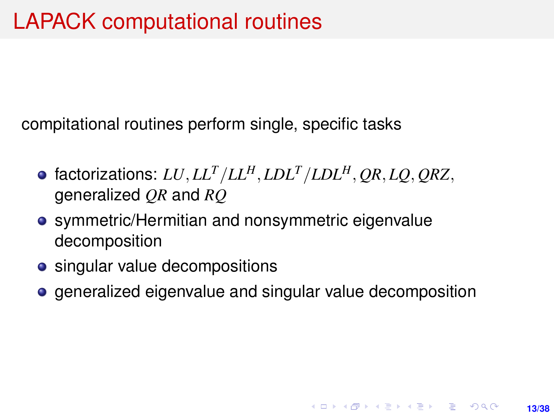compitational routines perform single, specific tasks

- factorizations: *LU*, *LL<sup>T</sup>* /*LLH*, *LDL<sup>T</sup>* /*LDLH*, *QR*, *LQ*, *QRZ*, generalized *QR* and *RQ*
- symmetric/Hermitian and nonsymmetric eigenvalue decomposition
- singular value decompositions
- generalized eigenvalue and singular value decomposition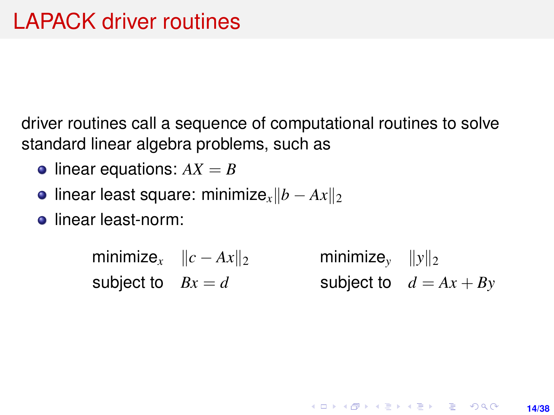driver routines call a sequence of computational routines to solve standard linear algebra problems, such as

- $\bullet$  linear equations:  $AX = B$
- **•** linear least square: minimize<sub>x</sub> $||b Ax||_2$
- **e** linear least-norm:

 $\text{minimize}_{x} \quad ||c - Ax||_2$  minimize<sub>y</sub>  $||y||_2$ subject to  $Bx = d$  subject to  $d = Ax + By$ 

**14/38**

**KORKARK A BIK BIKA A GA A GA A GA A BIKA A BIKA A BIKA A BIKA A BIKA A BIKA A BIKA A BIKA A BIKA A BIKA A BIKA**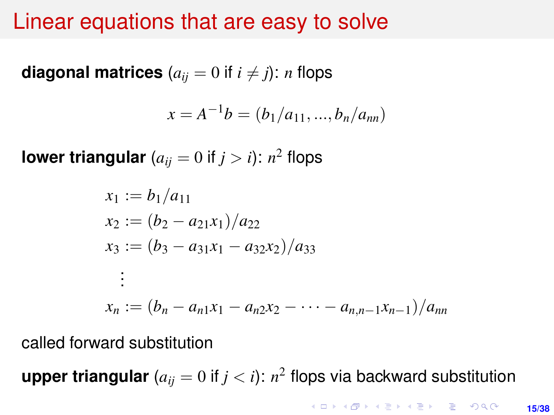#### Linear equations that are easy to solve

**diagonal matrices**  $(a_{ij} = 0 \text{ if } i \neq j)$ : *n* flops

$$
x = A^{-1}b = (b_1/a_{11}, ..., b_n/a_{nn})
$$

**lower triangular** ( $a_{ij} = 0$  if  $j > i$ ):  $n^2$  flops

$$
x_1 := b_1/a_{11}
$$
  
\n
$$
x_2 := (b_2 - a_{21}x_1)/a_{22}
$$
  
\n
$$
x_3 := (b_3 - a_{31}x_1 - a_{32}x_2)/a_{33}
$$
  
\n
$$
\vdots
$$
  
\n
$$
x_n := (b_n - a_{n1}x_1 - a_{n2}x_2 - \cdots - a_{n,n-1}x_{n-1})/a_{nn}
$$

called forward substitution

**upper triangular** ( $a_{ij} = 0$  if  $j < i$ ):  $n^2$  flops via backward substitution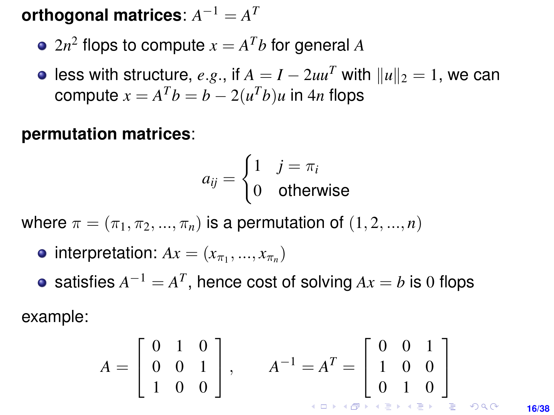$\mathbf{orth}\mathbf{ogonal}\mathbf{ matrices}\colon A^{-1}=A^{T}$ 

- $2n^2$  flops to compute  $x = A^Tb$  for general  $A$
- **e** less with structure, *e.g.*, if  $A = I 2uu^T$  with  $||u||_2 = 1$ , we can compute  $x = A^T b = b - 2(u^T b)u$  in  $4n$  flops

#### **permutation matrices**:

$$
a_{ij} = \begin{cases} 1 & j = \pi_i \\ 0 & \text{otherwise} \end{cases}
$$

where  $\pi = (\pi_1, \pi_2, ..., \pi_n)$  is a permutation of  $(1, 2, ..., n)$ 

- $\text{interpretation: } Ax = (x_{\pi_1}, ..., x_{\pi_n})$
- satisfies  $A^{-1} = A^T$ , hence cost of solving  $Ax = b$  is 0 flops example:

 $\sqrt{ }$ 0 1 0 1  $\sqrt{ }$ 0 0 1 1  $A^{-1} = A^T =$  $A =$ 0 0 1 1 0 0  $\overline{1}$  $\overline{1}$  $\overline{1}$ 1 0 0 0 1 0 

**16/38**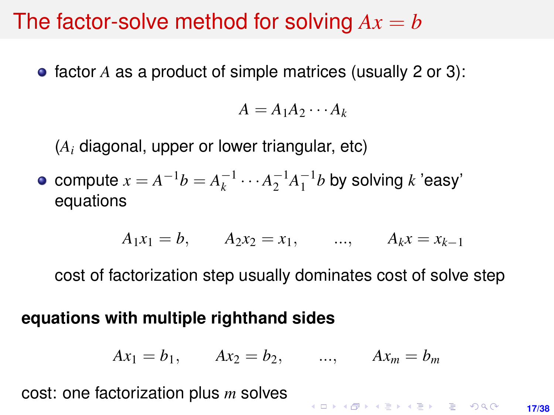#### The factor-solve method for solving  $Ax = b$

factor *A* as a product of simple matrices (usually 2 or 3):

$$
A=A_1A_2\cdots A_k
$$

(*A<sup>i</sup>* diagonal, upper or lower triangular, etc)

compute  $x = A^{-1}b = A_k^{-1} \cdots A_2^{-1} A_1^{-1}b$  by solving *k* 'easy' equations

$$
A_1x_1 = b
$$
,  $A_2x_2 = x_1$ , ...,  $A_kx = x_{k-1}$ 

cost of factorization step usually dominates cost of solve step

#### **equations with multiple righthand sides**

$$
Ax_1 = b_1
$$
,  $Ax_2 = b_2$ , ...,  $Ax_m = b_m$ 

cost: one factorization plus *m* solves

**KORKAR KERKER E DAG 17/38**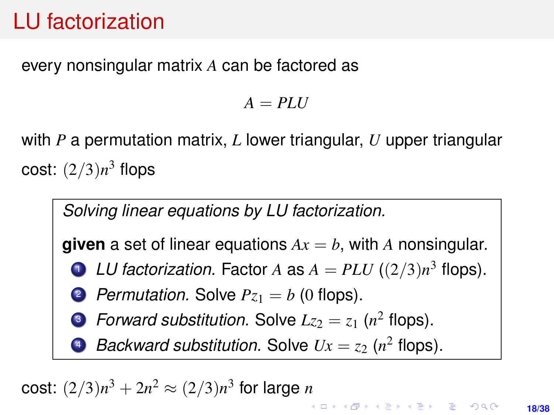# LU factorization

#### every nonsingular matrix *A* can be factored as

 $A = PLU$ 

with *P* a permutation matrix, *L* lower triangular, *U* upper triangular cost: (2/3)*n* <sup>3</sup> flops



cost:  $(2/3)n^3 + 2n^2 \approx (2/3)n^3$  for large *n*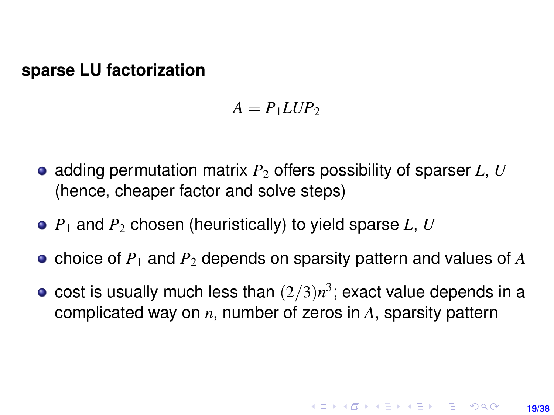#### **sparse LU factorization**

 $A = P_1 L U P_2$ 

- adding permutation matrix  $P_2$  offers possibility of sparser *L*, *U* (hence, cheaper factor and solve steps)
- $P_1$  and  $P_2$  chosen (heuristically) to yield sparse *L*, *U*
- choice of *P*<sup>1</sup> and *P*<sup>2</sup> depends on sparsity pattern and values of *A*
- cost is usually much less than  $(2/3)n^3$ ; exact value depends in a complicated way on *n*, number of zeros in *A*, sparsity pattern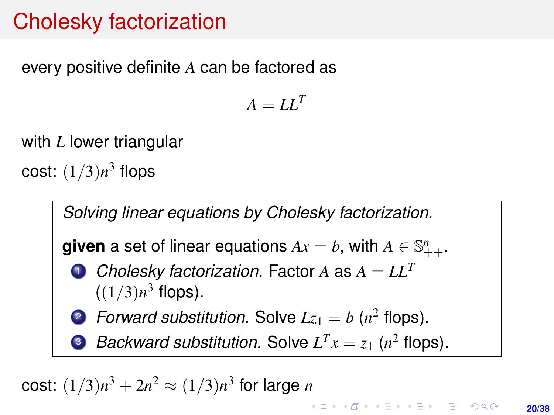# Cholesky factorization

every positive definite *A* can be factored as

 $A = LI^{T}$ 

with *L* lower triangular

cost: (1/3)*n* <sup>3</sup> flops



cost:  $(1/3)n^3 + 2n^2 \approx (1/3)n^3$  for large *n*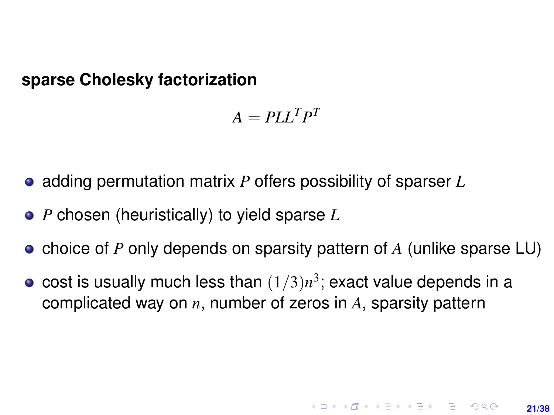**sparse Cholesky factorization**

$$
A = P L L^T P^T
$$

- adding permutation matrix *P* offers possibility of sparser *L*
- *P* chosen (heuristically) to yield sparse *L*
- choice of *P* only depends on sparsity pattern of *A* (unlike sparse LU)
- cost is usually much less than  $(1/3)n^3$ ; exact value depends in a complicated way on *n*, number of zeros in *A*, sparsity pattern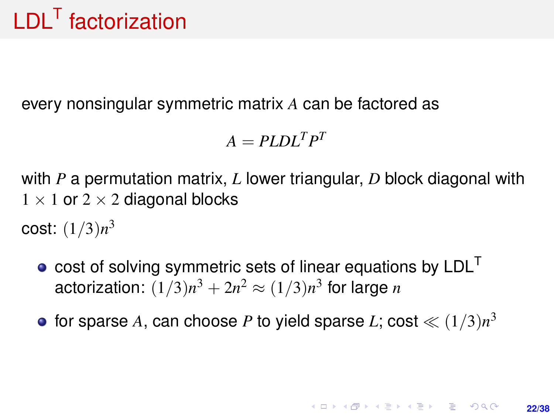# <span id="page-21-0"></span>LDL<sup>T</sup> factorization

every nonsingular symmetric matrix *A* can be factored as

 $A = PLDL<sup>T</sup>P<sup>T</sup>$ 

with *P* a permutation matrix, *L* lower triangular, *D* block diagonal with  $1 \times 1$  or  $2 \times 2$  diagonal blocks

cost: (1/3)*n* 3

- $\bullet$  cost of solving symmetric sets of linear equations by  $LDL<sup>T</sup>$ actorization:  $(1/3)n^3 + 2n^2 \approx (1/3)n^3$  for large *n*
- for sparse  $A$ , can choose  $P$  to yield sparse  $L$ ; cost  $\ll (1/3)n^3$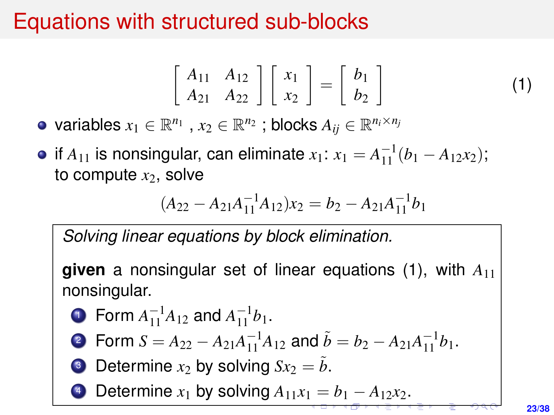### <span id="page-22-0"></span>Equations with structured sub-blocks

<span id="page-22-1"></span>
$$
\left[\begin{array}{cc} A_{11} & A_{12} \\ A_{21} & A_{22} \end{array}\right] \left[\begin{array}{c} x_1 \\ x_2 \end{array}\right] = \left[\begin{array}{c} b_1 \\ b_2 \end{array}\right] \tag{1}
$$

variables  $x_1 \in \mathbb{R}^{n_1}$  ,  $x_2 \in \mathbb{R}^{n_2}$  ; blocks  $A_{ij} \in \mathbb{R}^{n_i \times n_j}$ 

if  $A_{11}$  is nonsingular, can eliminate  $x_1$ :  $x_1 = A_{11}^{-1}(b_1 - A_{12}x_2)$ ; to compute  $x_2$ , solve

$$
(A_{22} - A_{21}A_{11}^{-1}A_{12})x_2 = b_2 - A_{21}A_{11}^{-1}b_1
$$

*Solving linear equations by block elimination.*

**given** a nonsingular set of linear equations [\(1\)](#page-22-1), with *A*<sup>11</sup> nonsingular.

• Form 
$$
A_{11}^{-1}A_{12}
$$
 and  $A_{11}^{-1}b_1$ .

**7** Form 
$$
S = A_{22} - A_{21}A_{11}^{-1}A_{12}
$$
 and  $\tilde{b} = b_2 - A_{21}A_{11}^{-1}b_1$ .

Determine  $x_2$  by solving  $Sx_2 = \tilde{b}$ .

Determine  $x_1$  $x_1$  [b](#page-23-0)y solving  $A_{11}x_1 = b_1 - A_{12}x_2$  $A_{11}x_1 = b_1 - A_{12}x_2$  $A_{11}x_1 = b_1 - A_{12}x_2$  $A_{11}x_1 = b_1 - A_{12}x_2$ [.](#page-0-0)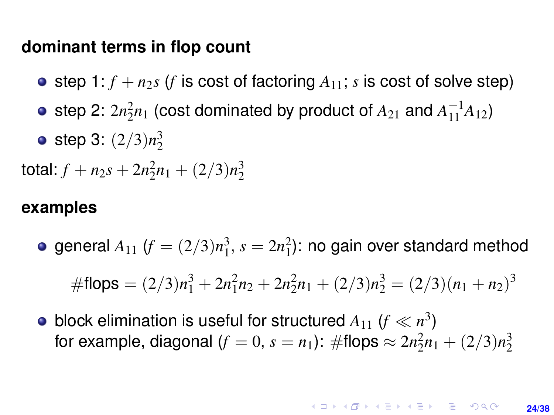#### <span id="page-23-0"></span>**dominant terms in flop count**

- step 1:  $f + n_2s$  (*f* is cost of factoring  $A_{11}$ ; *s* is cost of solve step)
- step 2:  $2n_2^2n_1$  (cost dominated by product of  $A_{21}$  and  $A_{11}^{-1}A_{12}$ )
- step 3: (2/3)*n* 3 2

total:  $f + n_2s + 2n_2n_1 + (2/3)n_2^3$ 

#### **examples**

general  $A_{11}$   $(f = (2/3)n_1^3$ ,  $s = 2n_1^2$ ): no gain over standard method

$$
\# \text{flops} = (2/3)n_1^3 + 2n_1^2n_2 + 2n_2^2n_1 + (2/3)n_2^3 = (2/3)(n_1 + n_2)^3
$$

block elimination is useful for structured  $A_{11}$   $(f \ll n^3)$ for example, diagonal  $(f = 0, s = n_1)$ : #flops  $\approx 2n_2^2n_1 + (2/3)n_2^3$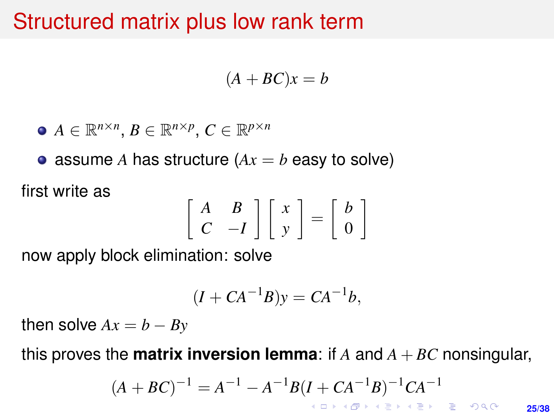#### Structured matrix plus low rank term

$$
(A + BC)x = b
$$

$$
\bullet\ A\in\mathbb{R}^{n\times n},\ B\in\mathbb{R}^{n\times p},\ C\in\mathbb{R}^{p\times n}
$$

• assume *A* has structure  $(Ax = b$  easy to solve)

first write as

$$
\left[\begin{array}{cc} A & B \\ C & -I \end{array}\right] \left[\begin{array}{c} x \\ y \end{array}\right] = \left[\begin{array}{c} b \\ 0 \end{array}\right]
$$

now apply block elimination: solve

$$
(I + CA^{-1}B)y = CA^{-1}b,
$$

then solve  $Ax = b - By$ 

this proves the **matrix inversion lemma**: if  $A$  and  $A + BC$  nonsingular,

$$
(A + BC)^{-1} = A^{-1} - A^{-1}B(I + CA^{-1}B)^{-1}CA^{-1}
$$

**25/38**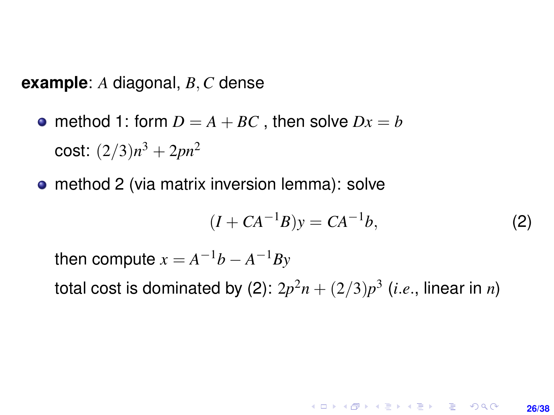**example**: *A* diagonal, *B*, *C* dense

- method 1: form  $D = A + BC$ , then solve  $Dx = b$ cost:  $(2/3)n^3 + 2pn^2$
- method 2 (via matrix inversion lemma): solve

<span id="page-25-0"></span>
$$
(I + CA^{-1}B)y = CA^{-1}b,
$$
 (2)

**KORKARK KERKER DRAM** 

**26/38**

then compute  $x = A^{-1}b - A^{-1}By$ 

total cost is dominated by [\(2\)](#page-25-0):  $2p^2n + (2/3)p^3$  (*i.e.*, linear in *n*)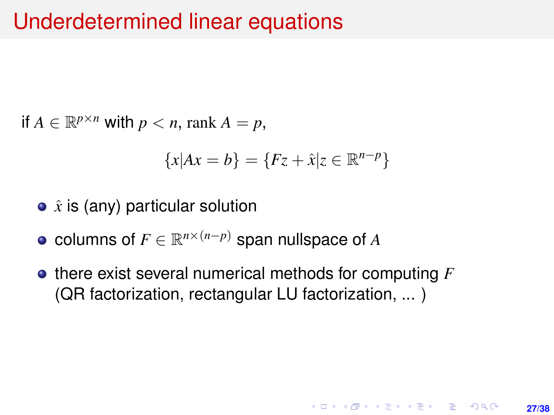#### Underdetermined linear equations

if  $A \in \mathbb{R}^{p \times n}$  with  $p < n$ , rank  $A = p$ ,

$$
\{x|Ax = b\} = \{Fz + \hat{x}|z \in \mathbb{R}^{n-p}\}
$$

- $\hat{x}$  is (any) particular solution
- columns of  $F \in \mathbb{R}^{n \times (n-p)}$  span nullspace of  $A$
- **•** there exist several numerical methods for computing *F* (QR factorization, rectangular LU factorization, ... )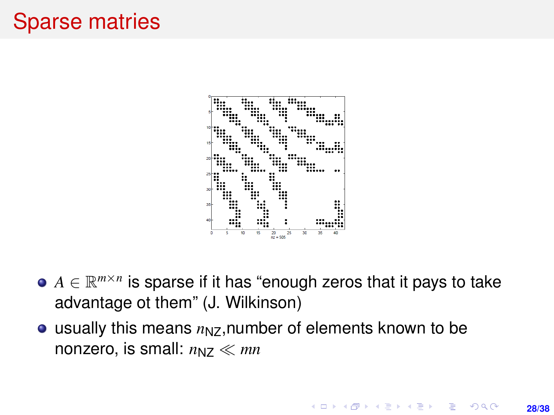### Sparse matries



- $A \in \mathbb{R}^{m \times n}$  is sparse if it has "enough zeros that it pays to take advantage ot them" (J. Wilkinson)
- $\bullet$  usually this means  $n_{NZ}$ , number of elements known to be nonzero, is small:  $n_{NZ} \ll mn$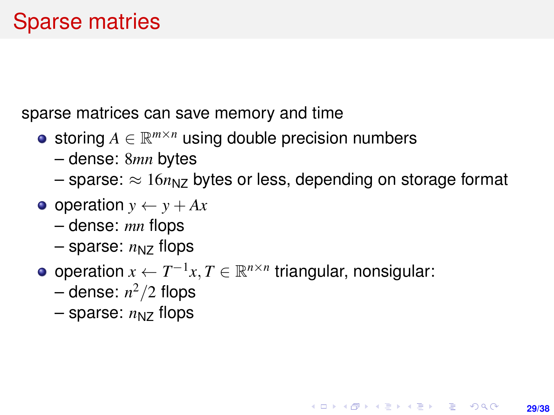sparse matrices can save memory and time

- storing  $A \in \mathbb{R}^{m \times n}$  using double precision numbers
	- dense: 8*mn* bytes
	- $-$  sparse:  $\approx 16n_{NZ}$  bytes or less, depending on storage format

**29/38**

KORK ERKER ERKER

- $\bullet$  operation  $y \leftarrow y + Ax$ 
	- dense: *mn* flops
	- $-$  sparse:  $n_{NZ}$  flops
- operation  $x \leftarrow T^{-1}x, T \in \mathbb{R}^{n \times n}$  triangular, nonsigular:
	- dense: *n* <sup>2</sup>/2 flops
	- $-$  sparse:  $n_{NZ}$  flops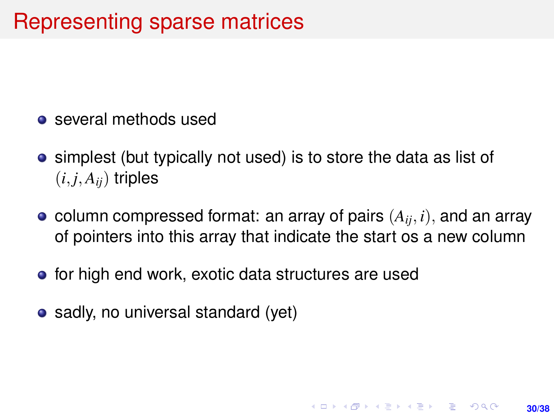- **o** several methods used
- **•** simplest (but typically not used) is to store the data as list of  $(i, j, A_{ii})$  triples
- column compressed format: an array of pairs  $(A_{ii}, i)$ , and an array of pointers into this array that indicate the start os a new column

**30/38**

**KORKARK A BIK BIKA A GA A GA A GA A BIKA A BIKA A BIKA A BIKA A BIKA A BIKA A BIKA A BIKA A BIKA A BIKA A BIKA** 

- for high end work, exotic data structures are used
- sadly, no universal standard (yet)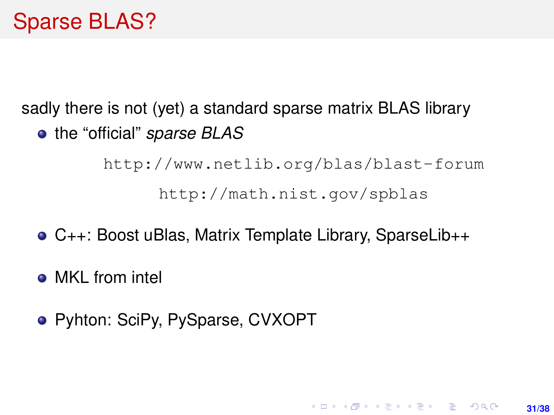#### Sparse BLAS?

sadly there is not (yet) a standard sparse matrix BLAS library the "official" *sparse BLAS*

> <http://www.netlib.org/blas/blast-forum> <http://math.nist.gov/spblas>

> > **31/38**

**KORKARK A BIK BIKA A GA A GA A GA A BIKA A BIKA A BIKA A BIKA A BIKA A BIKA A BIKA A BIKA A BIKA A BIKA A BIKA** 

- C++: Boost uBlas, Matrix Template Library, SparseLib++
- MKL from intel
- Pyhton: SciPy, PySparse, CVXOPT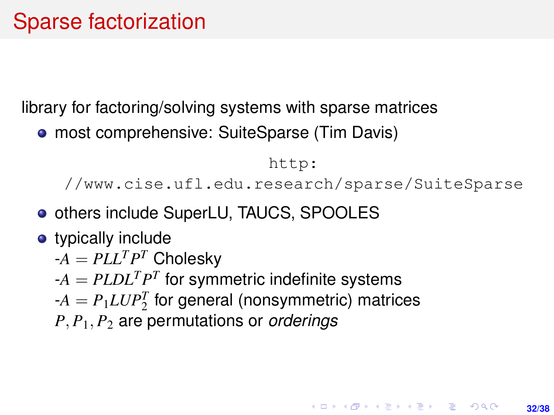library for factoring/solving systems with sparse matrices

• most comprehensive: SuiteSparse (Tim Davis)

```
http:
```
[//www.cise.ufl.edu.research/sparse/SuiteSparse](http://www.cise.ufl.edu.research/sparse/SuiteSparse)

- **o** others include SuperLU, TAUCS, SPOOLES
- typically include
	- $-A = PLL^T P^T$  Cholesky
	- $-A = PLDL<sup>T</sup>P<sup>T</sup>$  for symmetric indefinite systems
	- $-A = P_1 L U P_2^T$  for general (nonsymmetric) matrices
	- *P*, *P*1, *P*<sup>2</sup> are permutations or *orderings*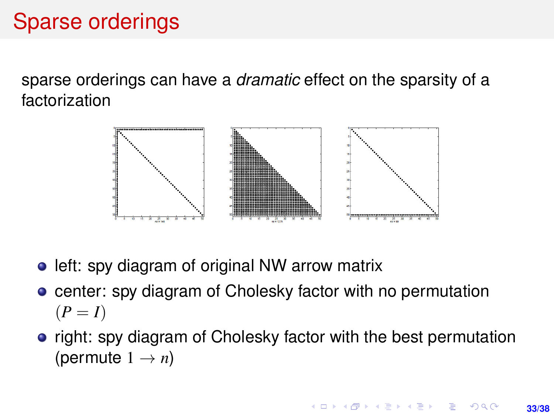# Sparse orderings

sparse orderings can have a *dramatic* effect on the sparsity of a factorization



- left: spy diagram of original NW arrow matrix
- **center: spy diagram of Cholesky factor with no permutation**  $(P = I)$
- right: spy diagram of Cholesky factor with the best permutation (permute  $1 \rightarrow n$ )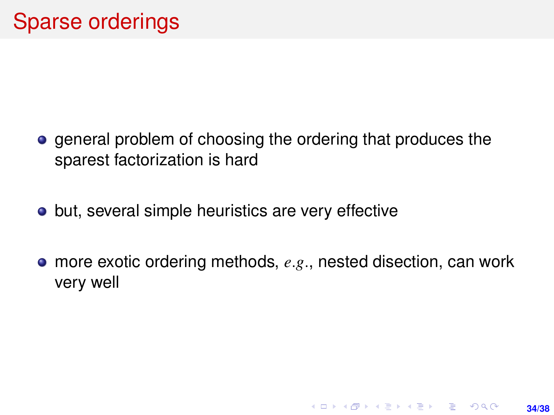- **e** general problem of choosing the ordering that produces the sparest factorization is hard
- but, several simple heuristics are very effective
- more exotic ordering methods, *e*.*g*., nested disection, can work very well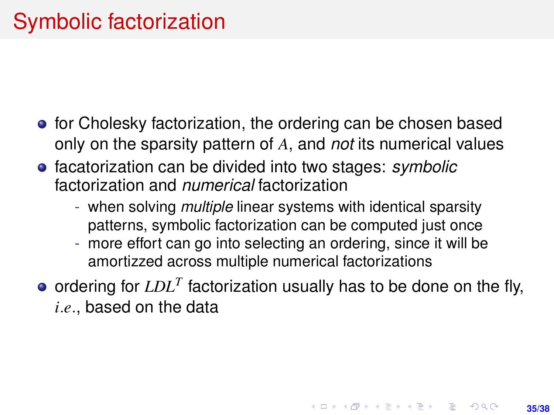- **•** for Cholesky factorization, the ordering can be chosen based only on the sparsity pattern of *A*, and *not* its numerical values
- facatorization can be divided into two stages: *symbolic* factorization and *numerical* factorization
	- when solving *multiple* linear systems with identical sparsity patterns, symbolic factorization can be computed just once
	- more effort can go into selecting an ordering, since it will be amortizzed across multiple numerical factorizations
- ordering for *LDL<sup>T</sup>* factorization usually has to be done on the fly, *i*.*e*., based on the data

**35/38**

**KORKARK A BIK BIKA A GA A GA A GA A BIKA A BIKA A BIKA A BIKA A BIKA A BIKA A BIKA A BIKA A BIKA A BIKA A BIKA**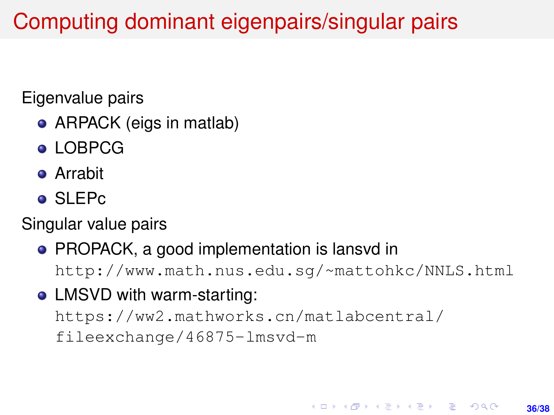# Computing dominant eigenpairs/singular pairs

#### Eigenvalue pairs

- ARPACK (eigs in matlab)
- **LOBPCG**
- Arrabit
- SLEPc

#### Singular value pairs

# • PROPACK, a good implementation is lansvd in

<http://www.math.nus.edu.sg/~mattohkc/NNLS.html>

### • LMSVD with warm-starting:

[https://ww2.mathworks.cn/matlabcentral/](https://ww2.mathworks.cn/matlabcentral/fileexchange/46875-lmsvd-m) [fileexchange/46875-lmsvd-m](https://ww2.mathworks.cn/matlabcentral/fileexchange/46875-lmsvd-m)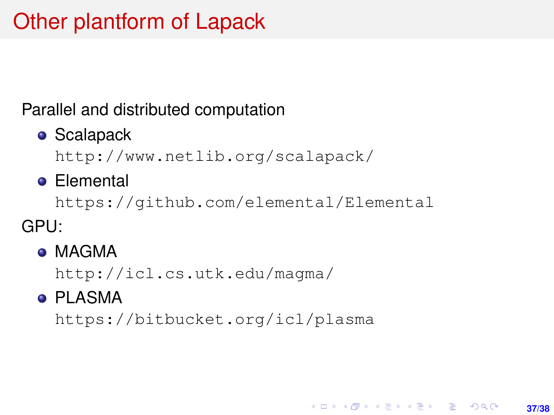## Other plantform of Lapack

#### Parallel and distributed computation

**•** Scalapack

<http://www.netlib.org/scalapack/>

**•** Elemental

<https://github.com/elemental/Elemental>

**37/38**

**KORKARK A BIK BIKA A GA A GA A GA A BIKA A BIKA A BIKA A BIKA A BIKA A BIKA A BIKA A BIKA A BIKA A BIKA A BIKA** 

GPU:

**• MAGMA** 

<http://icl.cs.utk.edu/magma/>

**• PLASMA** 

<https://bitbucket.org/icl/plasma>